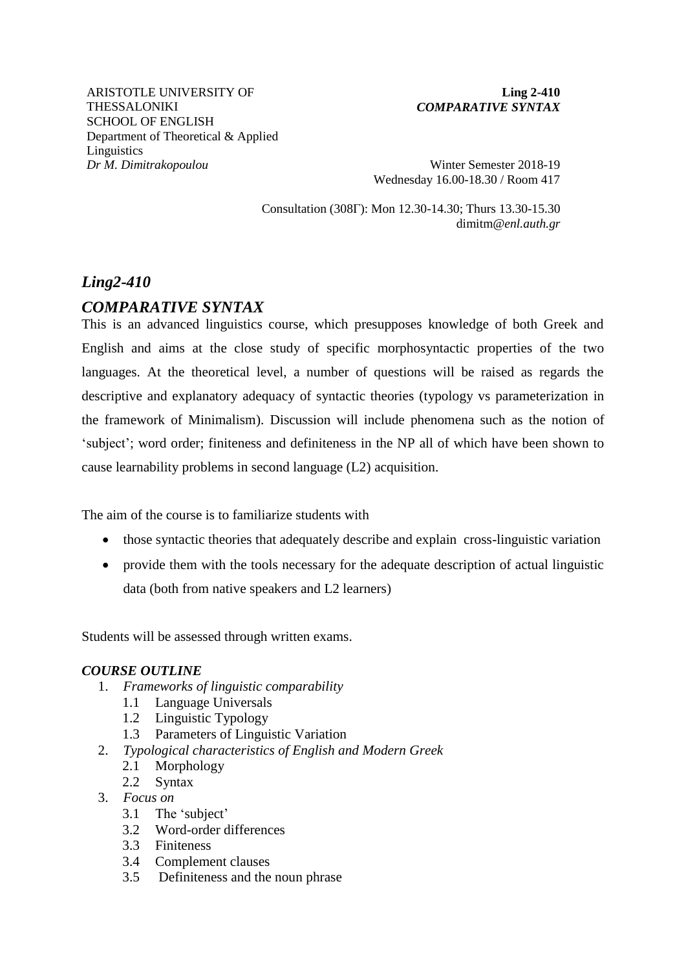ARISTOTLE UNIVERSITY OF THESSALONIKI SCHOOL OF ENGLISH Department of Theoretical & Applied **Linguistics** *Dr M. Dimitrakopoulou* Winter Semester 2018-19

### **Ling 2-410**  *COMPARATIVE SYNTAX*

Wednesday 16.00-18.30 / Room 417

Consultation (308Γ): Mon 12.30-14.30; Thurs 13.30-15.30 dimitm*@enl.auth.gr*

# *Ling2-410*

## *COMPARATIVE SYNTAX*

This is an advanced linguistics course, which presupposes knowledge of both Greek and English and aims at the close study of specific morphosyntactic properties of the two languages. At the theoretical level, a number of questions will be raised as regards the descriptive and explanatory adequacy of syntactic theories (typology vs parameterization in the framework of Minimalism). Discussion will include phenomena such as the notion of 'subject'; word order; finiteness and definiteness in the NP all of which have been shown to cause learnability problems in second language (L2) acquisition.

The aim of the course is to familiarize students with

- those syntactic theories that adequately describe and explain cross-linguistic variation
- provide them with the tools necessary for the adequate description of actual linguistic data (both from native speakers and L2 learners)

Students will be assessed through written exams.

### *COURSE OUTLINE*

- 1. *Frameworks of linguistic comparability*
	- 1.1 Language Universals
	- 1.2 Linguistic Typology
	- 1.3 Parameters of Linguistic Variation
- 2. *Typological characteristics of English and Modern Greek*
	- 2.1 Morphology
	- 2.2 Syntax
- 3. *Focus on*
	- 3.1 The 'subject'
	- 3.2 Word-order differences
	- 3.3 Finiteness
	- 3.4 Complement clauses
	- 3.5 Definiteness and the noun phrase